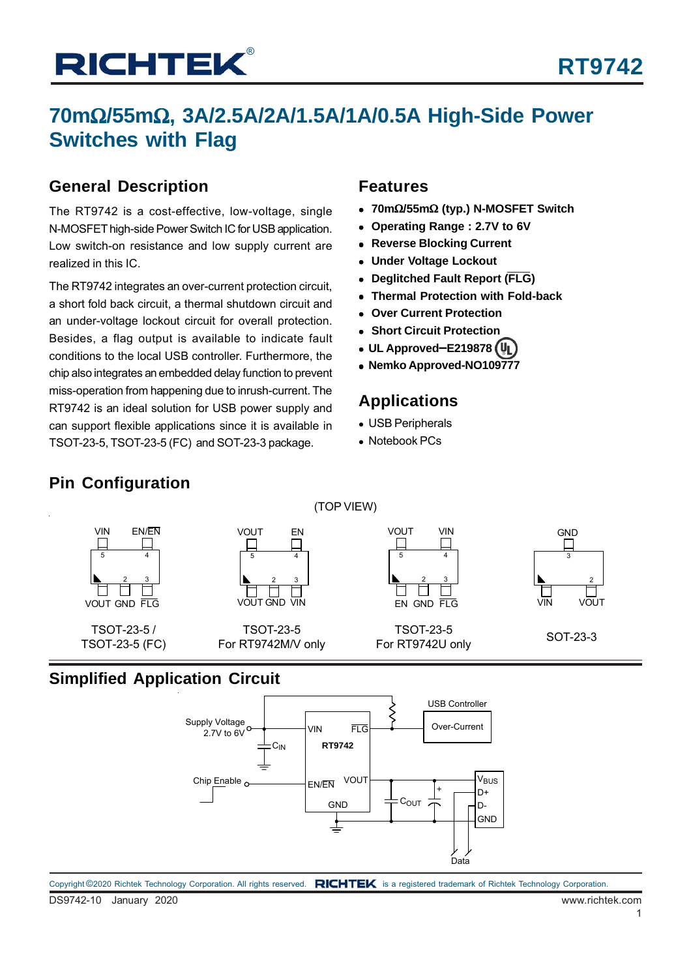## **70m**Ω**/55m**Ω**, 3A/2.5A/2A/1.5A/1A/0.5A High-Side Power Switches with Flag**

### **General Description**

The RT9742 is a cost-effective, low-voltage, single N-MOSFET high-side Power Switch IC for USB application. Low switch-on resistance and low supply current are realized in this IC.

The RT9742 integrates an over-current protection circuit, a short fold back circuit, a thermal shutdown circuit and an under-voltage lockout circuit for overall protection. Besides, a flag output is available to indicate fault conditions to the local USB controller. Furthermore, the chip also integrates an embedded delay function to prevent miss-operation from happening due to inrush-current. The RT9742 is an ideal solution for USB power supply and can support flexible applications since it is available in TSOT-23-5, TSOT-23-5 (FC) and SOT-23-3 package.

### **Features**

- **70m**Ω**/55m**Ω **(typ.) N-MOSFET Switch**
- **Operating Range : 2.7V to 6V**
- **Reverse Blocking Current**
- **Under Voltage Lockout**
- **Deglitched Fault Report (FLG)**
- **Thermal Protection with Fold-back**
- **Over Current Protection**
- **Short Circuit Protection**
- **UL Approved**−**E219878**
- **Nemko Approved-NO109777**

### **Applications**

- USB Peripherals
- Notebook PCs

## **Pin Configuration**



(TOP VIEW)

### **Simplified Application Circuit**

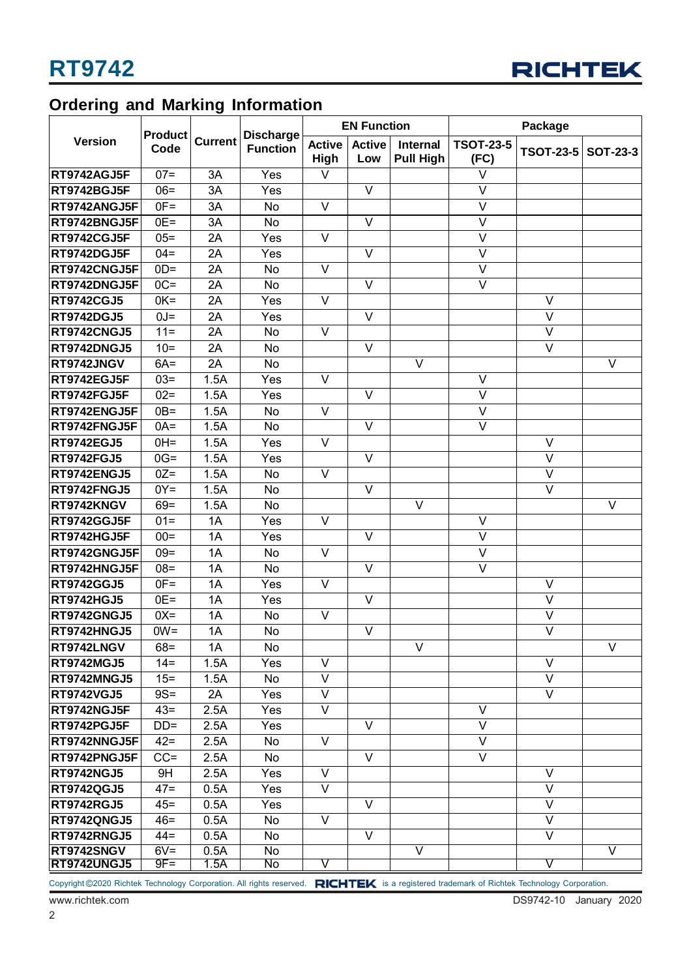

## **Ordering and Marking Information**

|                     |                        |                | <b>Discharge</b><br><b>Function</b> |                         | <b>EN Function</b>      |                              | Package                  |                         |                         |
|---------------------|------------------------|----------------|-------------------------------------|-------------------------|-------------------------|------------------------------|--------------------------|-------------------------|-------------------------|
| <b>Version</b>      | <b>Product</b><br>Code | <b>Current</b> |                                     | <b>Active</b><br>High   | <b>Active</b><br>Low    | Internal<br><b>Pull High</b> | <b>TSOT-23-5</b><br>(FC) | <b>TSOT-23-5</b>        | <b>SOT-23-3</b>         |
| <b>RT9742AGJ5F</b>  | $07 =$                 | 3A             | Yes                                 | $\vee$                  |                         |                              | $\vee$                   |                         |                         |
| <b>RT9742BGJ5F</b>  | $06 =$                 | 3A             | Yes                                 |                         | V                       |                              | $\overline{\vee}$        |                         |                         |
| <b>RT9742ANGJ5F</b> | $OF =$                 | 3A             | <b>No</b>                           | $\vee$                  |                         |                              | $\vee$                   |                         |                         |
| <b>RT9742BNGJ5F</b> | $0E =$                 | 3A             | <b>No</b>                           |                         | V                       |                              | $\vee$                   |                         |                         |
| <b>RT9742CGJ5F</b>  | $05 =$                 | 2A             | Yes                                 | $\vee$                  |                         |                              | $\vee$                   |                         |                         |
| <b>RT9742DGJ5F</b>  | $04 =$                 | 2A             | Yes                                 |                         | V                       |                              | $\vee$                   |                         |                         |
| RT9742CNGJ5F        | $OD =$                 | 2A             | <b>No</b>                           | $\vee$                  |                         |                              | $\vee$                   |                         |                         |
| <b>RT9742DNGJ5F</b> | $OC =$                 | 2A             | <b>No</b>                           |                         | V                       |                              | $\overline{\vee}$        |                         |                         |
| <b>RT9742CGJ5</b>   | $OK =$                 | 2A             | Yes                                 | $\overline{\vee}$       |                         |                              |                          | $\overline{\vee}$       |                         |
| <b>RT9742DGJ5</b>   | $U = 0$                | 2A             | Yes                                 |                         | $\vee$                  |                              |                          | $\overline{\vee}$       |                         |
| RT9742CNGJ5         | $11 =$                 | 2A             | <b>No</b>                           | $\vee$                  |                         |                              |                          | $\overline{\vee}$       |                         |
| <b>RT9742DNGJ5</b>  | $10=$                  | 2A             | <b>No</b>                           |                         | $\vee$                  |                              |                          | $\vee$                  |                         |
| <b>RT9742JNGV</b>   | $6A =$                 | 2A             | <b>No</b>                           |                         |                         | $\overline{\vee}$            |                          |                         | $\overline{\mathsf{v}}$ |
| RT9742EGJ5F         | $03 =$                 | 1.5A           | Yes                                 | $\vee$                  |                         |                              | $\vee$                   |                         |                         |
| RT9742FGJ5F         | $02 =$                 | 1.5A           | $\overline{Y}$ es                   |                         | V                       |                              | $\overline{\mathsf{V}}$  |                         |                         |
| RT9742ENGJ5F        | $OB =$                 | 1.5A           | No                                  | $\vee$                  |                         |                              | $\vee$                   |                         |                         |
| <b>RT9742FNGJ5F</b> | $OA =$                 | 1.5A           | No                                  |                         | $\vee$                  |                              | $\vee$                   |                         |                         |
| <b>RT9742EGJ5</b>   | $OH=$                  | 1.5A           | Yes                                 | $\vee$                  |                         |                              |                          | $\vee$                  |                         |
| <b>RT9742FGJ5</b>   | $0G =$                 | 1.5A           | Yes                                 |                         | V                       |                              |                          | $\vee$                  |                         |
| <b>RT9742ENGJ5</b>  | $0Z =$                 | 1.5A           | <b>No</b>                           | $\vee$                  |                         |                              |                          | $\vee$                  |                         |
| <b>RT9742FNGJ5</b>  | $0Y =$                 | 1.5A           | No                                  |                         | $\overline{\mathsf{v}}$ |                              |                          | $\overline{\vee}$       |                         |
| RT9742KNGV          | $69 =$                 | 1.5A           | No                                  |                         |                         | $\vee$                       |                          |                         | $\overline{\vee}$       |
| <b>RT9742GGJ5F</b>  | $01 =$                 | 1A             | Yes                                 | $\vee$                  |                         |                              | $\vee$                   |                         |                         |
| <b>RT9742HGJ5F</b>  | $00 =$                 | 1A             | Yes                                 |                         | V                       |                              | $\vee$                   |                         |                         |
| <b>RT9742GNGJ5F</b> | $09 =$                 | 1A             | <b>No</b>                           | $\vee$                  |                         |                              | $\vee$                   |                         |                         |
| <b>RT9742HNGJ5F</b> | $08 =$                 | 1A             | <b>No</b>                           |                         | $\vee$                  |                              | $\vee$                   |                         |                         |
| <b>RT9742GGJ5</b>   | $OF =$                 | 1A             | Yes                                 | $\vee$                  |                         |                              |                          | $\vee$                  |                         |
| RT9742HGJ5          | $0E =$                 | 1A             | Yes                                 |                         | $\overline{\mathsf{v}}$ |                              |                          | $\overline{\vee}$       |                         |
| <b>RT9742GNGJ5</b>  | $0X =$                 | 1A             | No                                  | $\vee$                  |                         |                              |                          | V                       |                         |
| <b>RT9742HNGJ5</b>  | $OW =$                 | 1A             | <b>No</b>                           |                         | V                       |                              |                          | $\overline{\vee}$       |                         |
| <b>RT9742LNGV</b>   | $68 =$                 | 1A             | No                                  |                         |                         | V                            |                          |                         | V                       |
| <b>RT9742MGJ5</b>   | $14 =$                 | 1.5A           | Yes                                 | $\vee$                  |                         |                              |                          | $\vee$                  |                         |
| <b>RT9742MNGJ5</b>  | $15 =$                 | 1.5A           | No                                  | V                       |                         |                              |                          | V                       |                         |
| <b>RT9742VGJ5</b>   | $9S =$                 | 2A             | Yes                                 | $\vee$                  |                         |                              |                          | $\overline{\vee}$       |                         |
| <b>RT9742NGJ5F</b>  | $43 =$                 | 2.5A           | Yes                                 | V                       |                         |                              | V                        |                         |                         |
| <b>RT9742PGJ5F</b>  | $DD =$                 | 2.5A           | Yes                                 |                         | V                       |                              | $\vee$                   |                         |                         |
| <b>RT9742NNGJ5F</b> | $42 =$                 | 2.5A           | No                                  | $\vee$                  |                         |                              | $\vee$                   |                         |                         |
| <b>RT9742PNGJ5F</b> | $CC =$                 | 2.5A           | <b>No</b>                           |                         | V                       |                              | $\vee$                   |                         |                         |
| <b>RT9742NGJ5</b>   | 9H                     | 2.5A           | Yes                                 | V                       |                         |                              |                          | V                       |                         |
| <b>RT9742QGJ5</b>   | $47 =$                 | 0.5A           | Yes                                 | V                       |                         |                              |                          | $\vee$                  |                         |
| <b>RT9742RGJ5</b>   | $45 =$                 | 0.5A           | Yes                                 |                         | V                       |                              |                          | $\overline{\vee}$       |                         |
| <b>RT9742QNGJ5</b>  | $46 =$                 | 0.5A           | No                                  | $\vee$                  |                         |                              |                          | V                       |                         |
| <b>RT9742RNGJ5</b>  | $44 =$                 | 0.5A           | <b>No</b>                           |                         | V                       |                              |                          | $\vee$                  |                         |
| RT9742SNGV          | $6V =$                 | 0.5A           | No                                  |                         |                         | $\vee$                       |                          |                         | $\overline{\mathsf{v}}$ |
| <b>RT9742UNGJ5</b>  | $9F =$                 | 1.5A           | No                                  | $\overline{\mathsf{v}}$ |                         |                              |                          | $\overline{\mathsf{v}}$ |                         |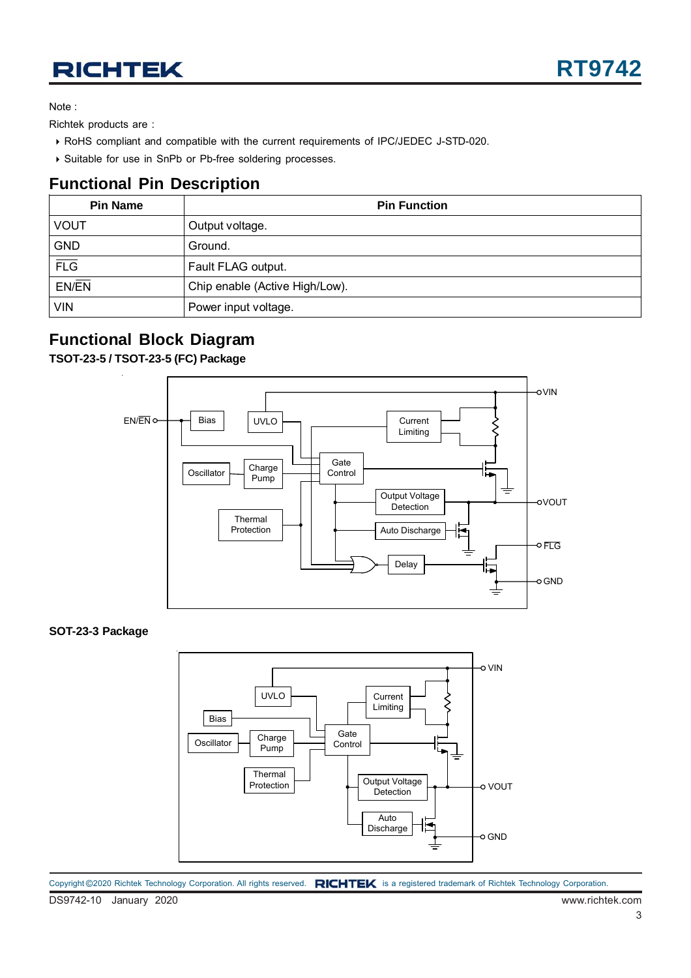Note :

Richtek products are :

- RoHS compliant and compatible with the current requirements of IPC/JEDEC J-STD-020.
- Suitable for use in SnPb or Pb-free soldering processes.

### **Functional Pin Description**

| <b>Pin Name</b>    | <b>Pin Function</b>            |  |  |  |  |  |
|--------------------|--------------------------------|--|--|--|--|--|
| <b>VOUT</b>        | Output voltage.                |  |  |  |  |  |
| <b>GND</b>         | Ground.                        |  |  |  |  |  |
| $\overline{FLG}$   | Fault FLAG output.             |  |  |  |  |  |
| $EN/\overline{EN}$ | Chip enable (Active High/Low). |  |  |  |  |  |
| <b>VIN</b>         | Power input voltage.           |  |  |  |  |  |

### **Functional Block Diagram**

**TSOT-23-5 / TSOT-23-5 (FC) Package**



**SOT-23-3 Package**



DS9742-10 January 2020 www.richtek.com Copyright ©2020 Richtek Technology Corporation. All rights reserved. RICHTEK is a registered trademark of Richtek Technology Corporation.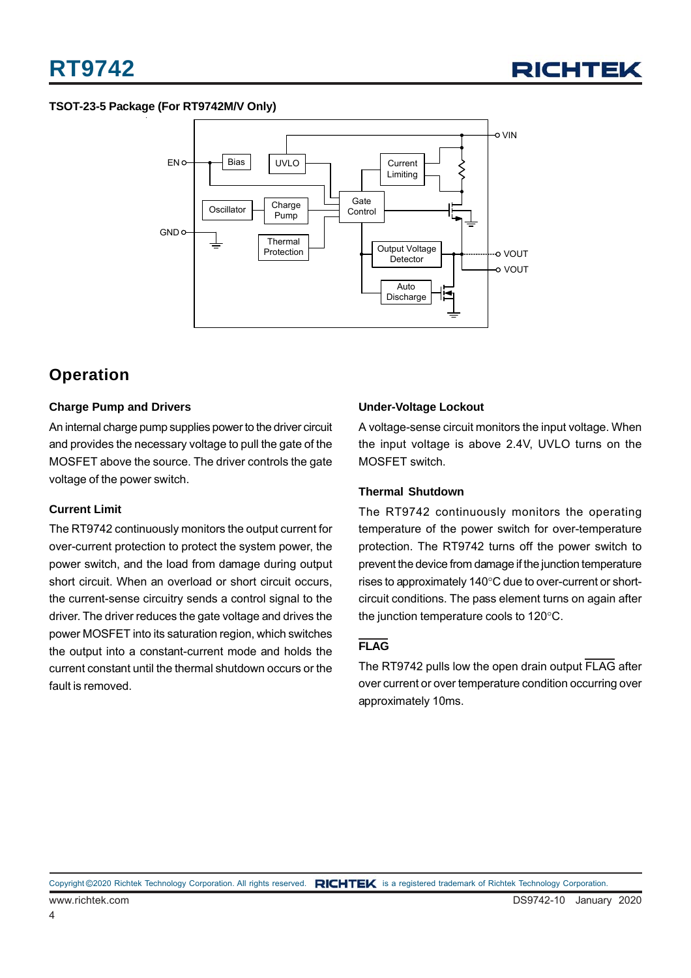#### **TSOT-23-5 Package (For RT9742M/V Only)**



### **Operation**

#### **Charge Pump and Drivers**

An internal charge pump supplies power to the driver circuit and provides the necessary voltage to pull the gate of the MOSFET above the source. The driver controls the gate voltage of the power switch.

#### **Current Limit**

The RT9742 continuously monitors the output current for over-current protection to protect the system power, the power switch, and the load from damage during output short circuit. When an overload or short circuit occurs, the current-sense circuitry sends a control signal to the driver. The driver reduces the gate voltage and drives the power MOSFET into its saturation region, which switches the output into a constant-current mode and holds the current constant until the thermal shutdown occurs or the fault is removed.

#### **Under-Voltage Lockout**

A voltage-sense circuit monitors the input voltage. When the input voltage is above 2.4V, UVLO turns on the MOSFET switch.

#### **Thermal Shutdown**

The RT9742 continuously monitors the operating temperature of the power switch for over-temperature protection. The RT9742 turns off the power switch to prevent the device from damage if the junction temperature rises to approximately 140°C due to over-current or shortcircuit conditions. The pass element turns on again after the junction temperature cools to 120°C.

#### **FLAG**

The RT9742 pulls low the open drain output FLAG after over current or over temperature condition occurring over approximately 10ms.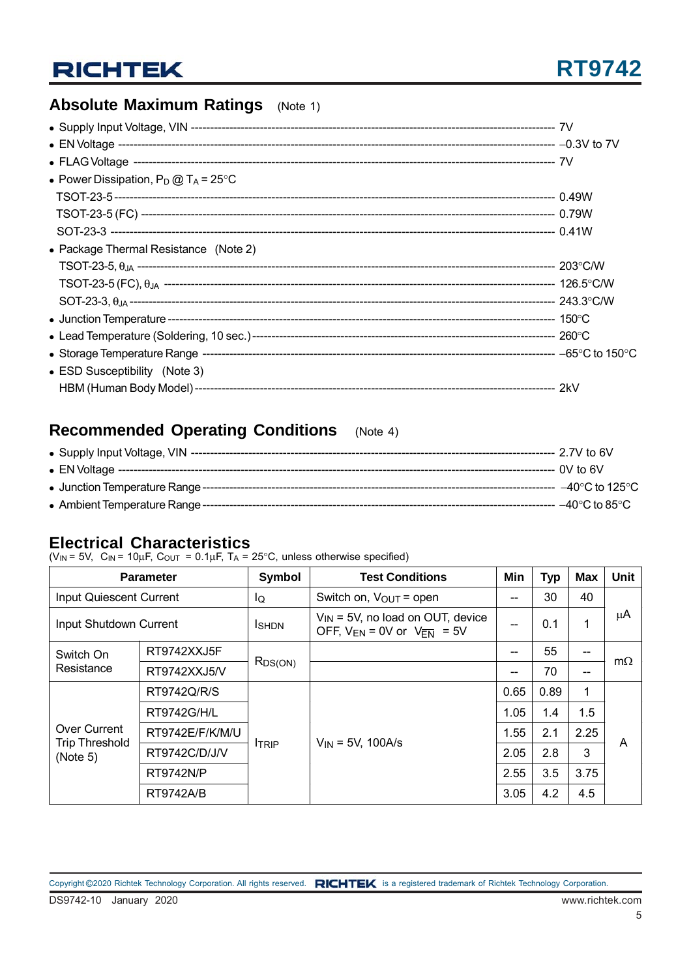### **Absolute Maximum Ratings** (Note 1)

| • Power Dissipation, $P_D @ T_A = 25^{\circ}C$ |  |
|------------------------------------------------|--|
|                                                |  |
|                                                |  |
|                                                |  |
| • Package Thermal Resistance (Note 2)          |  |
|                                                |  |
|                                                |  |
|                                                |  |
|                                                |  |
|                                                |  |
|                                                |  |
| • ESD Susceptibility (Note 3)                  |  |
|                                                |  |

## **Recommended Operating Conditions** (Note 4)

|                                    | --- 2.7V to 6V                      |
|------------------------------------|-------------------------------------|
|                                    |                                     |
|                                    | $-40^{\circ}$ C to 125 $^{\circ}$ C |
| • Ambient Temperature Range ------ | $-40^{\circ}$ C to 85 $^{\circ}$ C  |

### **Electrical Characteristics**

 $(V_{\text{IN}} = 5V, C_{\text{IN}} = 10 \mu F, C_{\text{OUT}} = 0.1 \mu F, T_A = 25^{\circ}C$ , unless otherwise specified)

| <b>Parameter</b>                  |                  | Symbol        | <b>Test Conditions</b>                                                       | Min    | <b>Typ</b> | Max  | <b>Unit</b> |
|-----------------------------------|------------------|---------------|------------------------------------------------------------------------------|--------|------------|------|-------------|
| <b>Input Quiescent Current</b>    |                  | lQ            | Switch on, $V_{\text{OUT}}$ = open                                           |        | 30         | 40   |             |
| Input Shutdown Current            |                  | <b>I</b> SHDN | $V_{IN}$ = 5V, no load on OUT, device<br>OFF, $V_{EN} = 0V$ or $V_{EN} = 5V$ | --     | 0.1        | 1    | μA          |
| Switch On                         | RT9742XXJ5F      |               |                                                                              | --     | 55         |      | $m\Omega$   |
| Resistance                        | RT9742XXJ5/V     | $R_{DS(ON)}$  |                                                                              | $\sim$ | 70         | --   |             |
|                                   | RT9742Q/R/S      | <b>ITRIP</b>  | $V_{IN}$ = 5V, 100A/s                                                        | 0.65   | 0.89       | 1    | A           |
|                                   | RT9742G/H/L      |               |                                                                              | 1.05   | 1.4        | 1.5  |             |
| Over Current                      | RT9742E/F/K/M/U  |               |                                                                              | 1.55   | 2.1        | 2.25 |             |
| <b>Trip Threshold</b><br>(Note 5) | RT9742C/D/J/V    |               |                                                                              | 2.05   | 2.8        | 3    |             |
|                                   | <b>RT9742N/P</b> |               |                                                                              | 2.55   | 3.5        | 3.75 |             |
|                                   | <b>RT9742A/B</b> |               |                                                                              | 3.05   | 4.2        | 4.5  |             |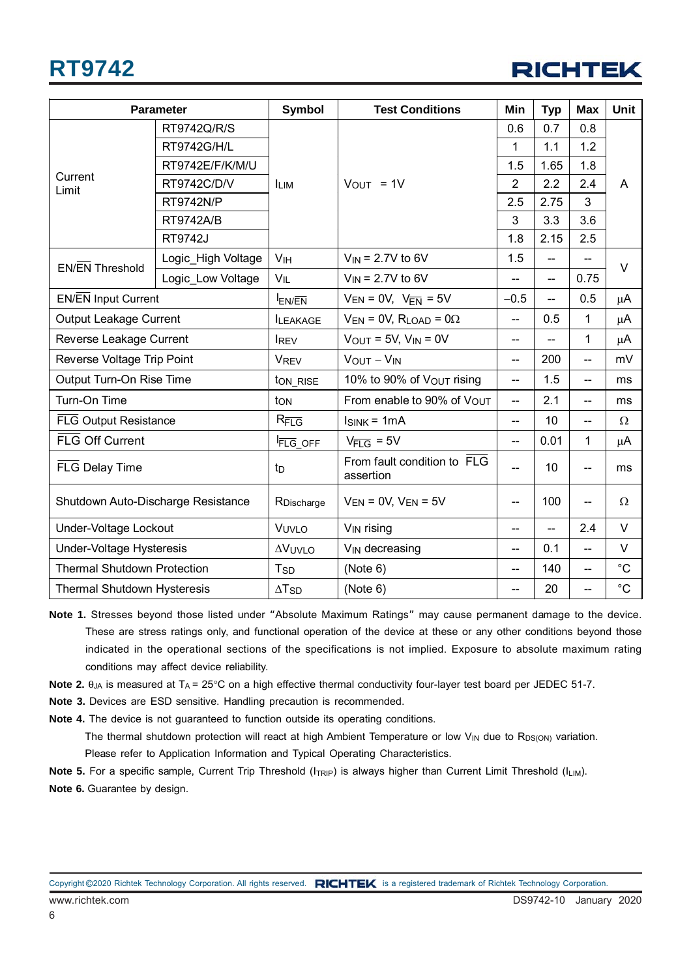## **RT9742**



|                                    | <b>Parameter</b>   | <b>Symbol</b>            | <b>Test Conditions</b>                   | Min                      | <b>Typ</b> | <b>Max</b>                    | <b>Unit</b>  |
|------------------------------------|--------------------|--------------------------|------------------------------------------|--------------------------|------------|-------------------------------|--------------|
|                                    | RT9742Q/R/S        |                          |                                          | 0.6                      | 0.7        | 0.8                           | A            |
|                                    | <b>RT9742G/H/L</b> |                          |                                          | 1                        | 1.1        | 1.2                           |              |
|                                    | RT9742E/F/K/M/U    |                          |                                          | 1.5                      | 1.65       | 1.8                           |              |
| Current<br>Limit                   | RT9742C/D/V        | <b>ILIM</b>              | $V_{OUT}$ = 1V                           | $\overline{2}$           | 2.2        | 2.4                           |              |
|                                    | <b>RT9742N/P</b>   |                          |                                          | 2.5                      | 2.75       | 3                             |              |
|                                    | <b>RT9742A/B</b>   |                          |                                          | 3                        | 3.3        | 3.6                           |              |
|                                    | <b>RT9742J</b>     |                          |                                          | 1.8                      | 2.15       | 2.5                           |              |
| EN/EN Threshold                    | Logic_High Voltage | V <sub>IH</sub>          | $V_{IN}$ = 2.7V to 6V                    | 1.5                      | $-$        | $-$                           | $\vee$       |
|                                    | Logic Low Voltage  | $V_{IL}$                 | $V_{IN}$ = 2.7V to 6V                    |                          | $-$        | 0.75                          |              |
| <b>EN/EN Input Current</b>         |                    | $I_{EN/\overline{EN}}$   | $V_{EN} = 0V$ , $V_{\overline{FN}} = 5V$ | $-0.5$                   | $-$        | 0.5                           | $\mu$ A      |
| Output Leakage Current             |                    | <b>ILEAKAGE</b>          | $V_{EN} = 0V$ , RLOAD = 0 $\Omega$       | $\overline{\phantom{a}}$ | 0.5        | 1                             | μA           |
| Reverse Leakage Current            |                    | <b>IREV</b>              | $V_{OUT} = 5V$ , $V_{IN} = 0V$           | $-$                      |            | $\mathbf 1$                   | $\mu$ A      |
| Reverse Voltage Trip Point         |                    | <b>VREV</b>              | $V_{OUT} - V_{IN}$                       | $\overline{a}$           | 200        | $\overline{a}$                | mV           |
| Output Turn-On Rise Time           |                    | ton_RISE                 | 10% to 90% of Vout rising                | $\overline{\phantom{a}}$ | 1.5        | --                            | ms           |
| Turn-On Time                       |                    | ton                      | From enable to 90% of VOUT               | $\overline{\phantom{a}}$ | 2.1        | $\qquad \qquad \qquad \qquad$ | ms           |
| <b>FLG Output Resistance</b>       |                    | $R_{\overline{FLG}}$     | $I_{SINK} = 1mA$                         | $\overline{a}$           | 10         | $\overline{\phantom{a}}$      | $\Omega$     |
| <b>FLG Off Current</b>             |                    | FLG_OFF                  | $V_{\overline{FI G}} = 5V$               | $\overline{\phantom{a}}$ | 0.01       | $\mathbf{1}$                  | $\mu$ A      |
| FLG Delay Time                     |                    | t <sub>D</sub>           | From fault condition to FLG<br>assertion | $\overline{a}$           | 10         | $\overline{\phantom{a}}$      | ms           |
| Shutdown Auto-Discharge Resistance |                    | RDischarge               | $V_{EN} = 0V$ , $V_{EN} = 5V$            | $\overline{\phantom{a}}$ | 100        | $\qquad \qquad \qquad \qquad$ | $\Omega$     |
| Under-Voltage Lockout              |                    | VUVLO                    | V <sub>IN</sub> rising                   | $\overline{a}$           | $-$        | 2.4                           | $\vee$       |
| <b>Under-Voltage Hysteresis</b>    |                    | <b>AVUVLO</b>            | V <sub>IN</sub> decreasing               | $-$                      | 0.1        | $\overline{\phantom{a}}$      | $\vee$       |
| <b>Thermal Shutdown Protection</b> |                    | T <sub>SD</sub>          | (Note 6)                                 | $\overline{\phantom{a}}$ | 140        | --                            | $^{\circ}C$  |
| Thermal Shutdown Hysteresis        |                    | $\Delta$ T <sub>SD</sub> | (Note 6)                                 | --                       | 20         | --                            | $^{\circ}$ C |

- **Note 1.** Stresses beyond those listed under "Absolute Maximum Ratings" may cause permanent damage to the device. These are stress ratings only, and functional operation of the device at these or any other conditions beyond those indicated in the operational sections of the specifications is not implied. Exposure to absolute maximum rating conditions may affect device reliability.
- **Note 2.**  $\theta_{JA}$  is measured at  $T_A = 25^{\circ}$ C on a high effective thermal conductivity four-layer test board per JEDEC 51-7.
- **Note 3.** Devices are ESD sensitive. Handling precaution is recommended.
- **Note 4.** The device is not guaranteed to function outside its operating conditions.

The thermal shutdown protection will react at high Ambient Temperature or low  $V_{IN}$  due to R<sub>DS(ON)</sub> variation. Please refer to Application Information and Typical Operating Characteristics.

**Note 5.** For a specific sample, Current Trip Threshold (I<sub>TRIP</sub>) is always higher than Current Limit Threshold (I<sub>LIM</sub>). **Note 6.** Guarantee by design.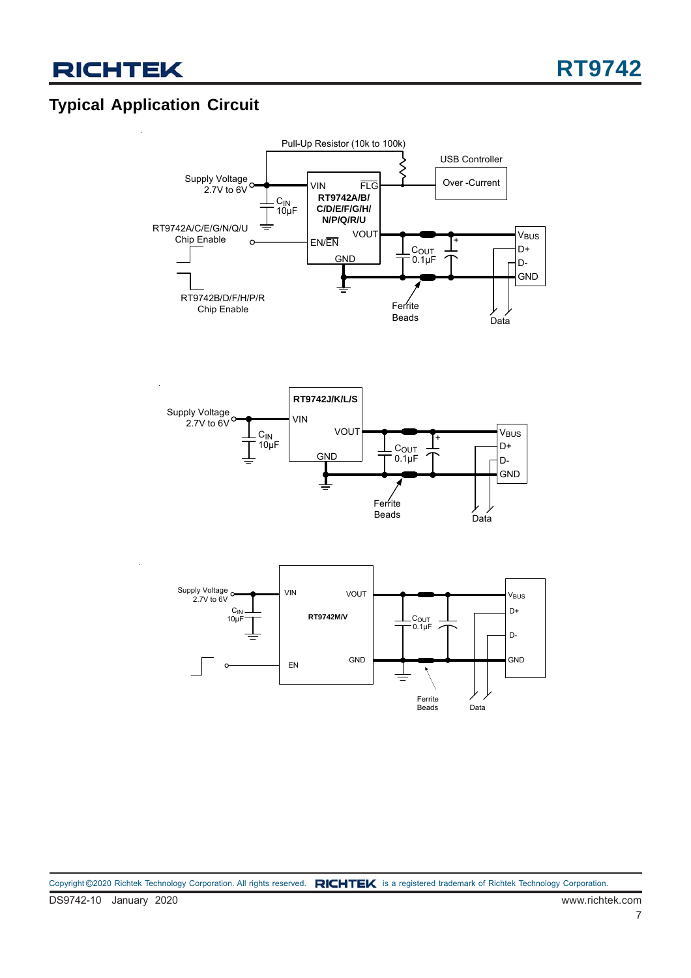## **Typical Application Circuit**

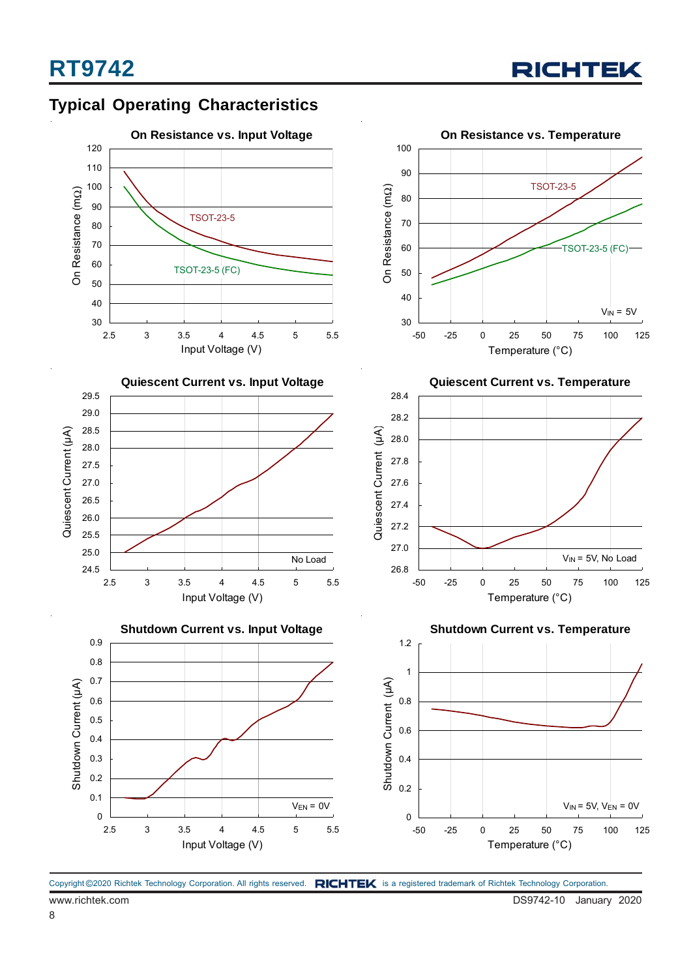



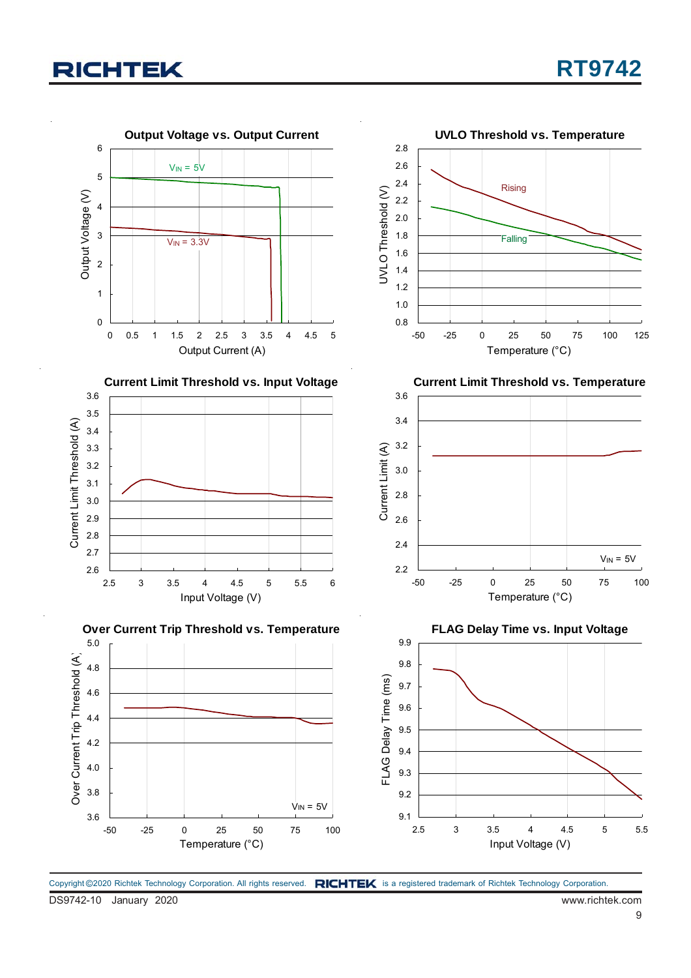

Copyright ©2020 Richtek Technology Corporation. All rights reserved. RICHTEK is a registered trademark of Richtek Technology Corporation.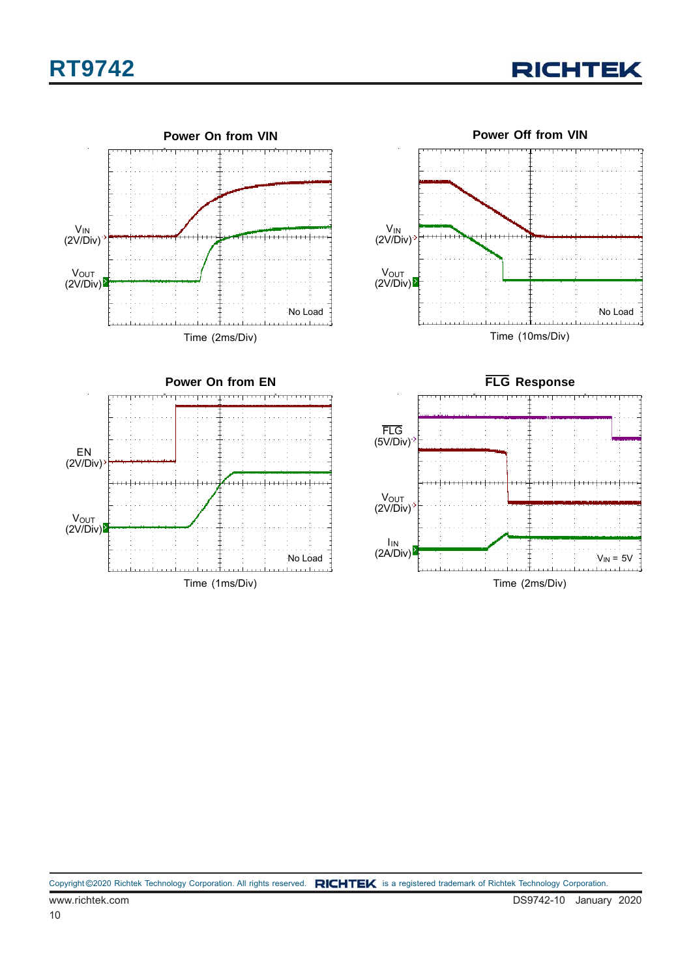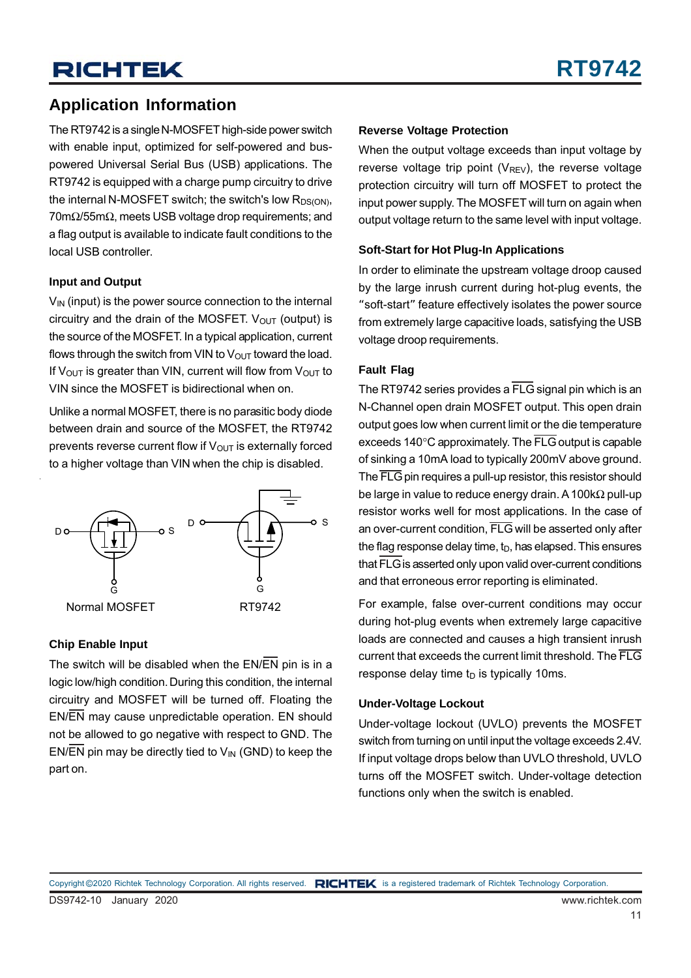The RT9742 is a single N-MOSFET high-side power switch with enable input, optimized for self-powered and buspowered Universal Serial Bus (USB) applications. The RT9742 is equipped with a charge pump circuitry to drive the internal N-MOSFET switch; the switch's low  $R_{DS(ON)}$ , 70mΩ/55mΩ, meets USB voltage drop requirements; and a flag output is available to indicate fault conditions to the local USB controller.

#### **Input and Output**

 $V_{IN}$  (input) is the power source connection to the internal circuitry and the drain of the MOSFET.  $V_{OUT}$  (output) is the source of the MOSFET. In a typical application, current flows through the switch from VIN to  $V_{\text{OUT}}$  toward the load. If V<sub>OUT</sub> is greater than VIN, current will flow from V<sub>OUT</sub> to VIN since the MOSFET is bidirectional when on.

Unlike a normal MOSFET, there is no parasitic body diode between drain and source of the MOSFET, the RT9742 prevents reverse current flow if  $V_{\text{OUT}}$  is externally forced to a higher voltage than VIN when the chip is disabled.



#### **Chip Enable Input**

The switch will be disabled when the EN/EN pin is in a logic low/high condition. During this condition, the internal circuitry and MOSFET will be turned off. Floating the EN/EN may cause unpredictable operation. EN should not be allowed to go negative with respect to GND. The EN/EN pin may be directly tied to  $V_{\text{IN}}$  (GND) to keep the part on.

#### **Reverse Voltage Protection**

When the output voltage exceeds than input voltage by reverse voltage trip point ( $V_{REV}$ ), the reverse voltage protection circuitry will turn off MOSFET to protect the input power supply. The MOSFET will turn on again when output voltage return to the same level with input voltage.

#### **Soft-Start for Hot Plug-In Applications**

In order to eliminate the upstream voltage droop caused by the large inrush current during hot-plug events, the "soft-start" feature effectively isolates the power source from extremely large capacitive loads, satisfying the USB voltage droop requirements.

#### **Fault Flag**

The RT9742 series provides a FLG signal pin which is an N-Channel open drain MOSFET output. This open drain output goes low when current limit or the die temperature exceeds 140°C approximately. The FLG output is capable of sinking a 10mA load to typically 200mV above ground. The FLG pin requires a pull-up resistor, this resistor should be large in value to reduce energy drain. A 100k $\Omega$  pull-up resistor works well for most applications. In the case of an over-current condition, FLG will be asserted only after the flag response delay time,  $t_D$ , has elapsed. This ensures that FLG is asserted only upon valid over-current conditions and that erroneous error reporting is eliminated.

For example, false over-current conditions may occur during hot-plug events when extremely large capacitive loads are connected and causes a high transient inrush current that exceeds the current limit threshold. The FLG response delay time  $t<sub>D</sub>$  is typically 10ms.

#### **Under-Voltage Lockout**

Under-voltage lockout (UVLO) prevents the MOSFET switch from turning on until input the voltage exceeds 2.4V. If input voltage drops below than UVLO threshold, UVLO turns off the MOSFET switch. Under-voltage detection functions only when the switch is enabled.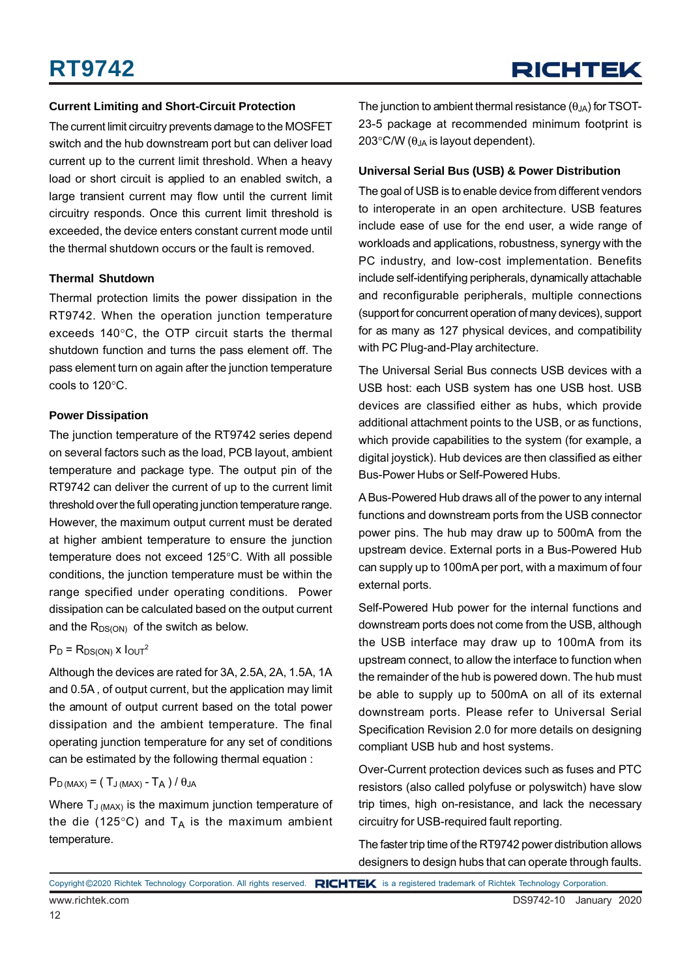#### **Current Limiting and Short-Circuit Protection**

The current limit circuitry prevents damage to the MOSFET switch and the hub downstream port but can deliver load current up to the current limit threshold. When a heavy load or short circuit is applied to an enabled switch, a large transient current may flow until the current limit circuitry responds. Once this current limit threshold is exceeded, the device enters constant current mode until the thermal shutdown occurs or the fault is removed.

#### **Thermal Shutdown**

Thermal protection limits the power dissipation in the RT9742. When the operation junction temperature exceeds 140°C, the OTP circuit starts the thermal shutdown function and turns the pass element off. The pass element turn on again after the junction temperature cools to 120°C.

#### **Power Dissipation**

The junction temperature of the RT9742 series depend on several factors such as the load, PCB layout, ambient temperature and package type. The output pin of the RT9742 can deliver the current of up to the current limit threshold over the full operating junction temperature range. However, the maximum output current must be derated at higher ambient temperature to ensure the junction temperature does not exceed 125°C. With all possible conditions, the junction temperature must be within the range specified under operating conditions. Power dissipation can be calculated based on the output current and the  $R_{DS(ON)}$  of the switch as below.

#### $P_D = R_{DS(ON)} x 1_{OUT}^2$

Although the devices are rated for 3A, 2.5A, 2A, 1.5A, 1A and 0.5A , of output current, but the application may limit the amount of output current based on the total power dissipation and the ambient temperature. The final operating junction temperature for any set of conditions can be estimated by the following thermal equation :

#### $P_{D (MAX)} = (T_{J (MAX)} - T_A) / \theta_{JA}$

Where  $T_{J (MAX)}$  is the maximum junction temperature of the die (125 $\degree$ C) and T<sub>A</sub> is the maximum ambient temperature.

The junction to ambient thermal resistance  $(\theta_{JA})$  for TSOT-23-5 package at recommended minimum footprint is 203 $\degree$ C/W ( $\theta_{JA}$  is layout dependent).

#### **Universal Serial Bus (USB) & Power Distribution**

The goal of USB is to enable device from different vendors to interoperate in an open architecture. USB features include ease of use for the end user, a wide range of workloads and applications, robustness, synergy with the PC industry, and low-cost implementation. Benefits include self-identifying peripherals, dynamically attachable and reconfigurable peripherals, multiple connections (support for concurrent operation of many devices), support for as many as 127 physical devices, and compatibility with PC Plug-and-Play architecture.

The Universal Serial Bus connects USB devices with a USB host: each USB system has one USB host. USB devices are classified either as hubs, which provide additional attachment points to the USB, or as functions, which provide capabilities to the system (for example, a digital joystick). Hub devices are then classified as either Bus-Power Hubs or Self-Powered Hubs.

A Bus-Powered Hub draws all of the power to any internal functions and downstream ports from the USB connector power pins. The hub may draw up to 500mA from the upstream device. External ports in a Bus-Powered Hub can supply up to 100mA per port, with a maximum of four external ports.

Self-Powered Hub power for the internal functions and downstream ports does not come from the USB, although the USB interface may draw up to 100mA from its upstream connect, to allow the interface to function when the remainder of the hub is powered down. The hub must be able to supply up to 500mA on all of its external downstream ports. Please refer to Universal Serial Specification Revision 2.0 for more details on designing compliant USB hub and host systems.

Over-Current protection devices such as fuses and PTC resistors (also called polyfuse or polyswitch) have slow trip times, high on-resistance, and lack the necessary circuitry for USB-required fault reporting.

The faster trip time of the RT9742 power distribution allows designers to design hubs that can operate through faults.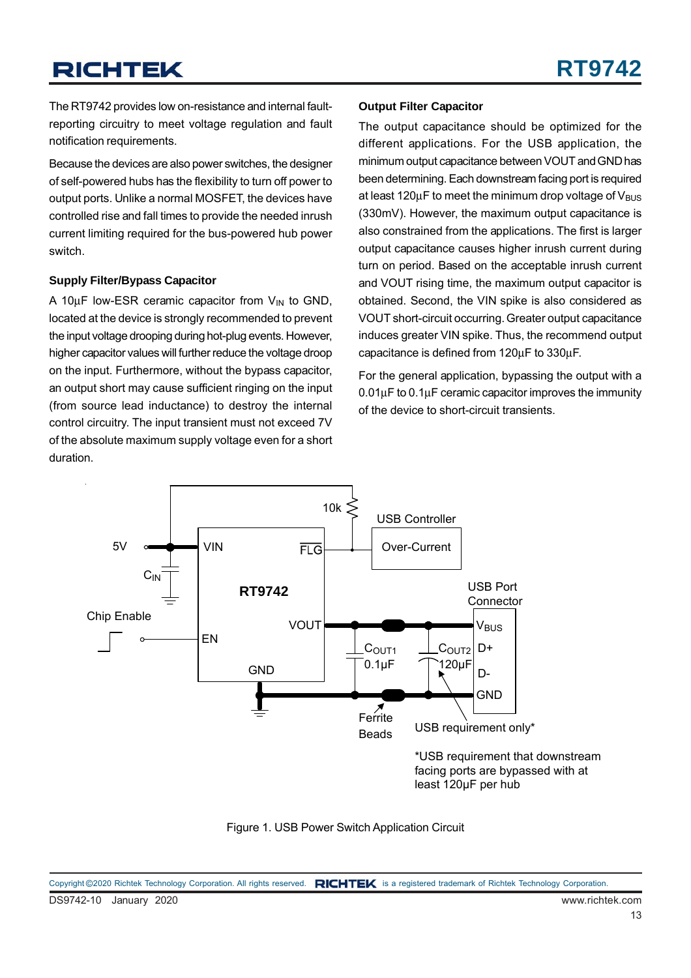The RT9742 provides low on-resistance and internal faultreporting circuitry to meet voltage regulation and fault notification requirements.

Because the devices are also power switches, the designer of self-powered hubs has the flexibility to turn off power to output ports. Unlike a normal MOSFET, the devices have controlled rise and fall times to provide the needed inrush current limiting required for the bus-powered hub power switch.

#### **Supply Filter/Bypass Capacitor**

A 10 $\mu$ F low-ESR ceramic capacitor from  $V_{\text{IN}}$  to GND, located at the device is strongly recommended to prevent the input voltage drooping during hot-plug events. However, higher capacitor values will further reduce the voltage droop on the input. Furthermore, without the bypass capacitor, an output short may cause sufficient ringing on the input (from source lead inductance) to destroy the internal control circuitry. The input transient must not exceed 7V of the absolute maximum supply voltage even for a short duration.

#### **Output Filter Capacitor**

The output capacitance should be optimized for the different applications. For the USB application, the minimum output capacitance between VOUT and GND has been determining. Each downstream facing port is required at least  $120\mu$ F to meet the minimum drop voltage of  $V_{\text{BUS}}$ (330mV). However, the maximum output capacitance is also constrained from the applications. The first is larger output capacitance causes higher inrush current during turn on period. Based on the acceptable inrush current and VOUT rising time, the maximum output capacitor is obtained. Second, the VIN spike is also considered as VOUT short-circuit occurring. Greater output capacitance induces greater VIN spike. Thus, the recommend output capacitance is defined from 120μF to 330μF.

For the general application, bypassing the output with a 0.01μF to 0.1μF ceramic capacitor improves the immunity of the device to short-circuit transients.





DS9742-10 January 2020 www.richtek.com Copyright ©2020 Richtek Technology Corporation. All rights reserved. RICHTEK is a registered trademark of Richtek Technology Corporation.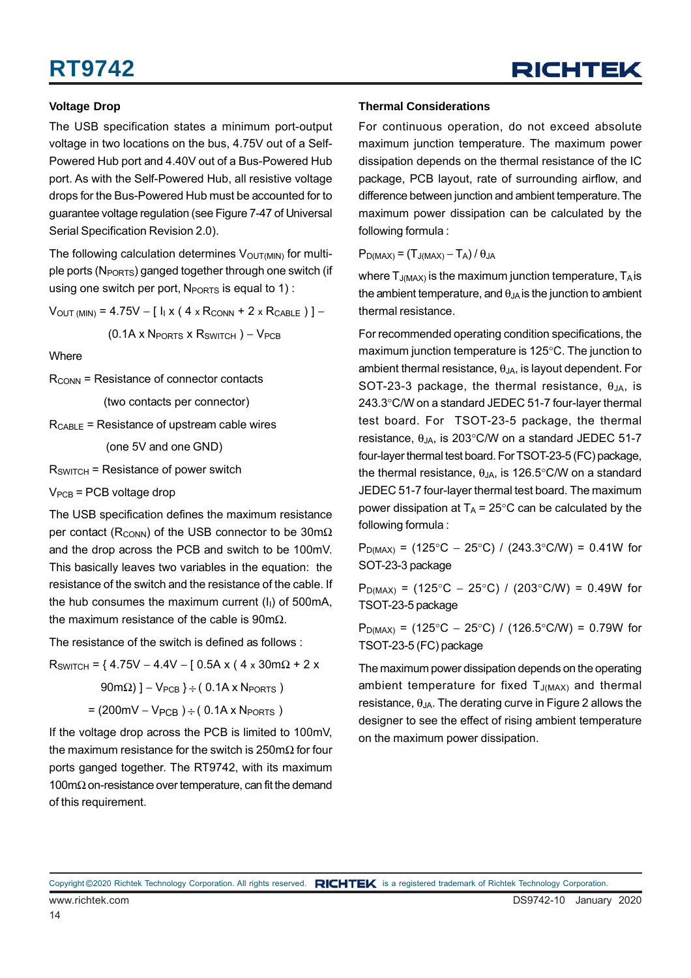#### **Voltage Drop**

The USB specification states a minimum port-output voltage in two locations on the bus, 4.75V out of a Self-Powered Hub port and 4.40V out of a Bus-Powered Hub port. As with the Self-Powered Hub, all resistive voltage drops for the Bus-Powered Hub must be accounted for to guarantee voltage regulation (see Figure 7-47 of Universal Serial Specification Revision 2.0).

The following calculation determines  $V_{\text{OUT}}(M)$  for multiple ports (N<sub>PORTS</sub>) ganged together through one switch (if using one switch per port,  $N_{PORTS}$  is equal to 1):

 $V_{OUT (MIN)} = 4.75V - [I<sub>1</sub> x (4 \times R<sub>CONN</sub> + 2 \times R<sub>CABLE</sub>)] -$ 

 $(0.1A \times N_{PORTS} \times R_{SWITCH}) - V_{PCB}$ 

**Where** 

 $R_{\text{CONN}}$  = Resistance of connector contacts

(two contacts per connector)

 $R_{\text{CABLE}}$  = Resistance of upstream cable wires

(one 5V and one GND)

 $R_{SWITCH}$  = Resistance of power switch

 $V_{PCB}$  = PCB voltage drop

The USB specification defines the maximum resistance per contact ( $R_{\text{CONN}}$ ) of the USB connector to be 30m $\Omega$ and the drop across the PCB and switch to be 100mV. This basically leaves two variables in the equation: the resistance of the switch and the resistance of the cable. If the hub consumes the maximum current  $(I<sub>1</sub>)$  of 500mA, the maximum resistance of the cable is  $90 \text{m}\Omega$ .

The resistance of the switch is defined as follows :

 $R_{SWITCH}$  = { 4.75V – 4.4V – [ 0.5A x ( 4 x 30m $\Omega$  + 2 x

 $90 \text{m}\Omega$ ) ] – V<sub>PCB</sub> }  $\div$  (0.1A x N<sub>PORTS</sub>)

 $= (200 \text{mV} - V_{PCB}) \div (0.1 \text{A} \times N_{PORTS})$ 

If the voltage drop across the PCB is limited to 100mV, the maximum resistance for the switch is 250mΩ for four ports ganged together. The RT9742, with its maximum 100mΩ on-resistance over temperature, can fit the demand of this requirement.

#### **Thermal Considerations**

For continuous operation, do not exceed absolute maximum junction temperature. The maximum power dissipation depends on the thermal resistance of the IC package, PCB layout, rate of surrounding airflow, and difference between junction and ambient temperature. The maximum power dissipation can be calculated by the following formula :

 $P_{D(MAX)} = (T_{J(MAX)} - T_A)/\theta_{JA}$ 

where  $T_{J(MAX)}$  is the maximum junction temperature,  $T_{A}$  is the ambient temperature, and  $\theta_{JA}$  is the junction to ambient thermal resistance.

For recommended operating condition specifications, the maximum junction temperature is 125°C. The junction to ambient thermal resistance,  $\theta_{\text{JA}}$ , is layout dependent. For SOT-23-3 package, the thermal resistance,  $\theta_{JA}$ , is 243.3°C/W on a standard JEDEC 51-7 four-layer thermal test board. For TSOT-23-5 package, the thermal resistance,  $\theta_{JA}$ , is 203°C/W on a standard JEDEC 51-7 four-layer thermal test board. For TSOT-23-5 (FC) package, the thermal resistance,  $θ_{JA}$ , is 126.5°C/W on a standard JEDEC 51-7 four-layer thermal test board. The maximum power dissipation at  $T_A = 25^{\circ}$ C can be calculated by the following formula :

 $P_{D(MAX)}$  = (125°C – 25°C) / (243.3°C/W) = 0.41W for SOT-23-3 package

 $P_{D(MAX)}$  = (125°C − 25°C) / (203°C/W) = 0.49W for TSOT-23-5 package

 $P_{D(MAX)} = (125^{\circ}C - 25^{\circ}C) / (126.5^{\circ}C/W) = 0.79W$  for TSOT-23-5 (FC) package

The maximum power dissipation depends on the operating ambient temperature for fixed  $T_{J(MAX)}$  and thermal resistance,  $\theta_{JA}$ . The derating curve in Figure 2 allows the designer to see the effect of rising ambient temperature on the maximum power dissipation.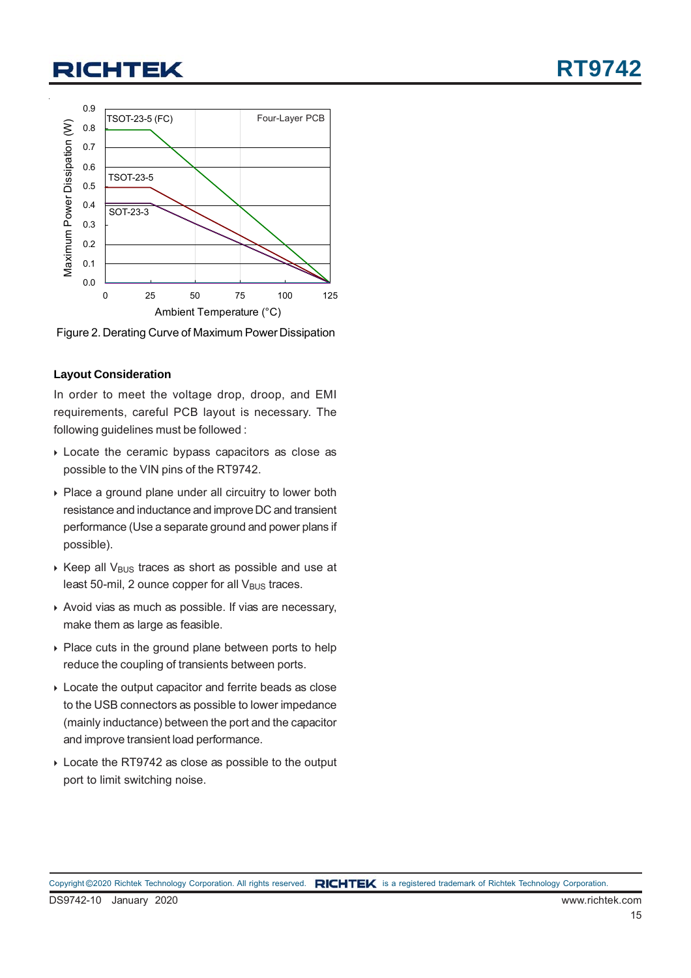

Ambient Temperature (°C)

Figure 2. Derating Curve of Maximum Power Dissipation

#### **Layout Consideration**

In order to meet the voltage drop, droop, and EMI requirements, careful PCB layout is necessary. The following guidelines must be followed :

- Locate the ceramic bypass capacitors as close as possible to the VIN pins of the RT9742.
- ▶ Place a ground plane under all circuitry to lower both resistance and inductance and improve DC and transient performance (Use a separate ground and power plans if possible).
- $\triangleright$  Keep all V<sub>BUS</sub> traces as short as possible and use at least 50-mil, 2 ounce copper for all  $V_{\text{BUS}}$  traces.
- Avoid vias as much as possible. If vias are necessary, make them as large as feasible.
- ▶ Place cuts in the ground plane between ports to help reduce the coupling of transients between ports.
- Locate the output capacitor and ferrite beads as close to the USB connectors as possible to lower impedance (mainly inductance) between the port and the capacitor and improve transient load performance.
- Locate the RT9742 as close as possible to the output port to limit switching noise.

**RT9742**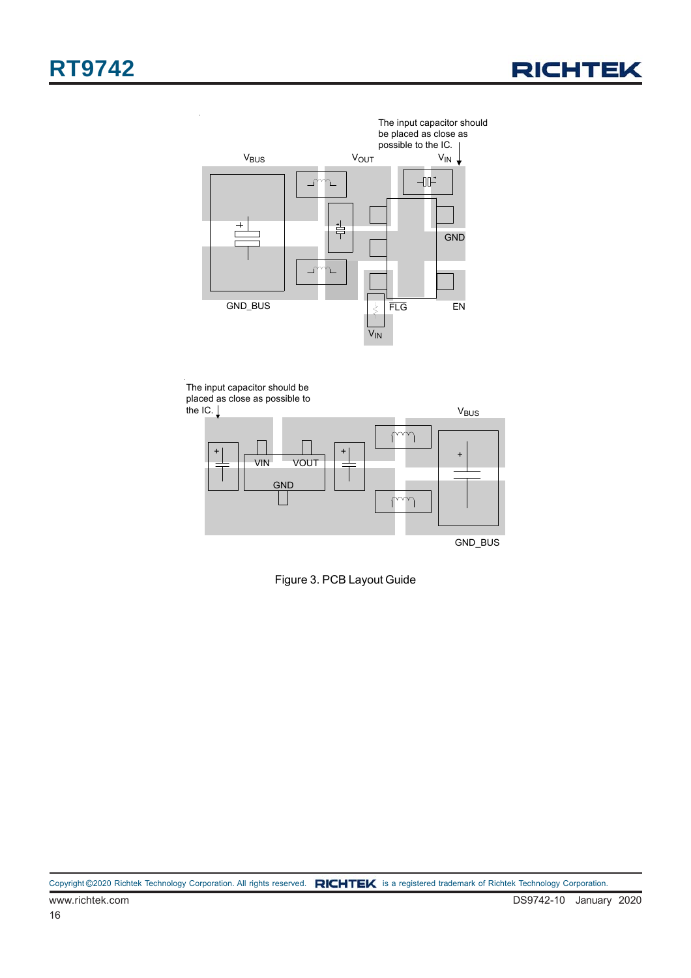



The input capacitor should be placed as close as possible to the IC.  $\downarrow$ 



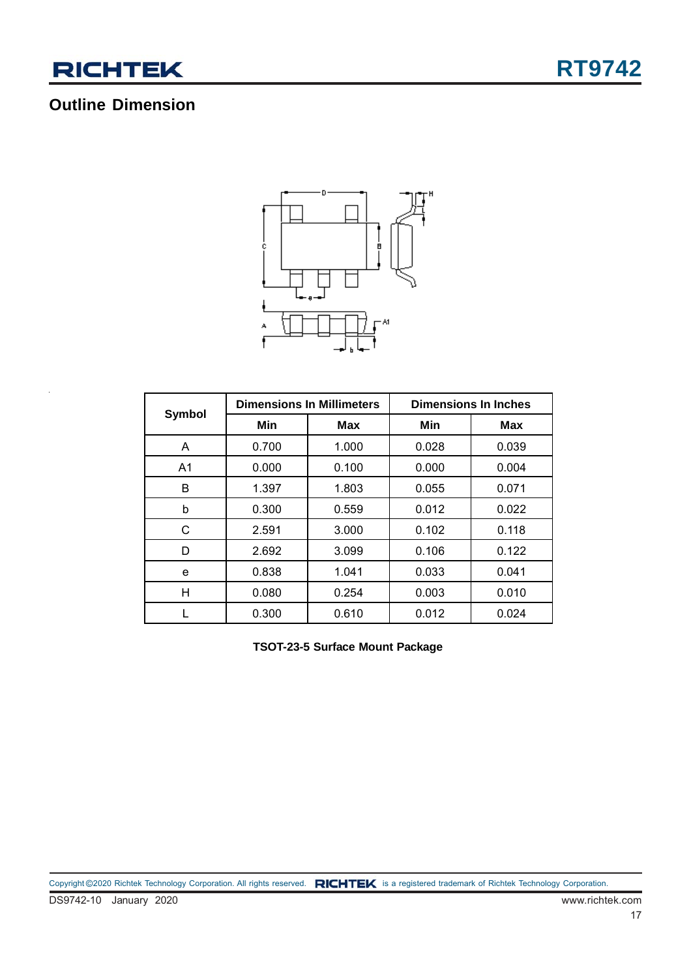

## **Outline Dimension**



|                |                   | <b>Dimensions In Millimeters</b> | <b>Dimensions In Inches</b> |            |  |
|----------------|-------------------|----------------------------------|-----------------------------|------------|--|
| <b>Symbol</b>  | Min<br><b>Max</b> |                                  | Min                         | <b>Max</b> |  |
| A              | 0.700             | 1.000                            | 0.028                       | 0.039      |  |
| A <sub>1</sub> | 0.000             | 0.100                            | 0.000                       | 0.004      |  |
| B              | 1.397             | 1.803                            | 0.055                       | 0.071      |  |
| b              | 0.300             | 0.559                            | 0.012                       | 0.022      |  |
| С              | 2.591             | 3.000                            | 0.102                       | 0.118      |  |
| D              | 2.692             | 3.099                            | 0.106                       | 0.122      |  |
| e              | 0.838             | 1.041                            | 0.033                       | 0.041      |  |
| н              | 0.080             | 0.254                            | 0.003                       | 0.010      |  |
|                | 0.300             | 0.610                            | 0.012                       | 0.024      |  |

**TSOT-23-5 Surface Mount Package**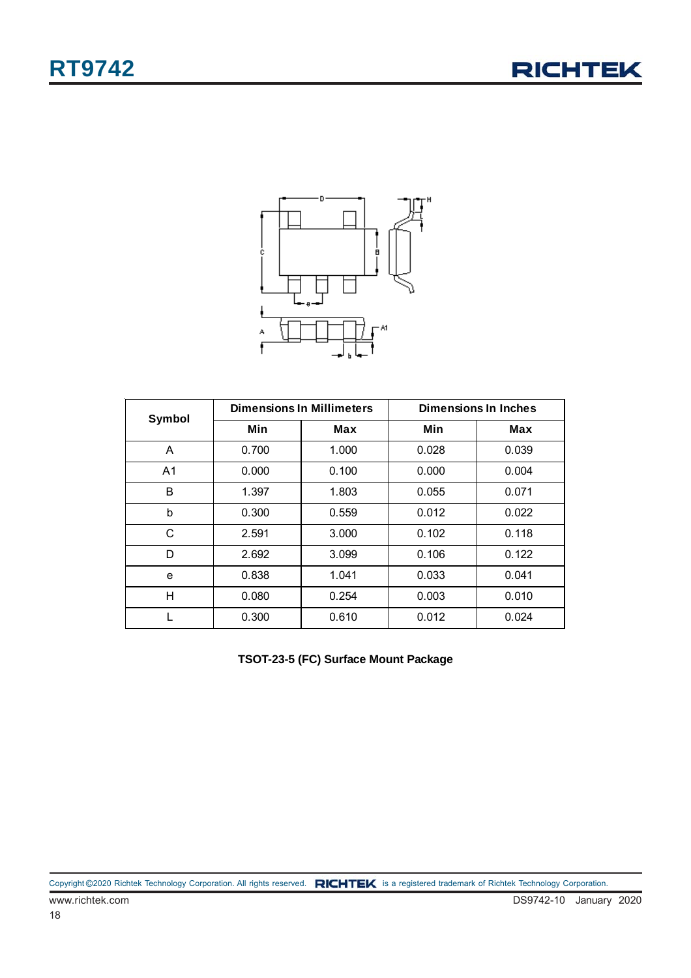



| <b>Symbol</b>  |       | <b>Dimensions In Millimeters</b> | <b>Dimensions In Inches</b> |       |  |
|----------------|-------|----------------------------------|-----------------------------|-------|--|
|                | Min   | <b>Max</b>                       | Min                         | Max   |  |
| A              | 0.700 | 1.000                            | 0.028                       | 0.039 |  |
| A <sub>1</sub> | 0.000 | 0.100                            | 0.000                       | 0.004 |  |
| B              | 1.397 | 1.803                            | 0.055                       | 0.071 |  |
| b              | 0.300 | 0.559                            | 0.012                       | 0.022 |  |
| С              | 2.591 | 3.000                            | 0.102                       | 0.118 |  |
| D              | 2.692 | 3.099                            | 0.106                       | 0.122 |  |
| e              | 0.838 | 1.041                            | 0.033                       | 0.041 |  |
| н              | 0.080 | 0.254                            | 0.003                       | 0.010 |  |
|                | 0.300 | 0.610                            | 0.012                       | 0.024 |  |

**TSOT-23-5 (FC) Surface Mount Package**